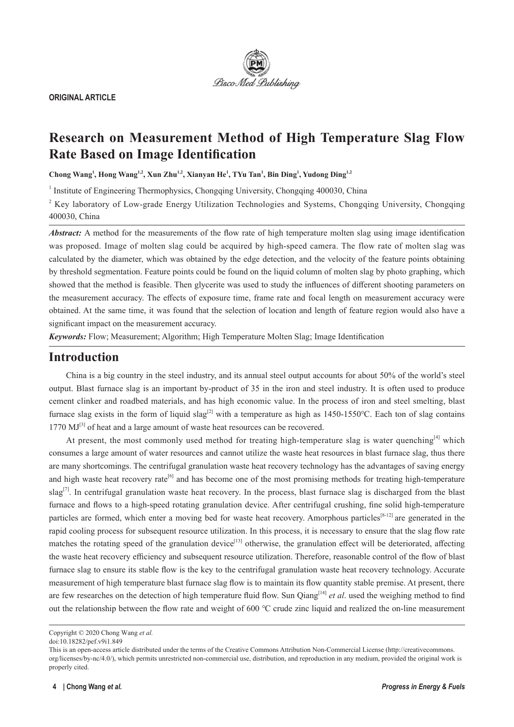

**ORIGINAL ARTICLE**

# **Research on Measurement Method of High Temperature Slag Flow Rate Based on Image Identification**

**Chong Wang<sup>1</sup> , Hong Wang1,2, Xun Zhu1,2, Xianyan He1 , TYu Tan<sup>1</sup> , Bin Ding<sup>1</sup> , Yudong Ding1,2**

<sup>1</sup> Institute of Engineering Thermophysics, Chongqing University, Chongqing 400030, China

<sup>2</sup> Key laboratory of Low-grade Energy Utilization Technologies and Systems, Chongqing University, Chongqing 400030, China

*Abstract:* A method for the measurements of the flow rate of high temperature molten slag using image identification was proposed. Image of molten slag could be acquired by high-speed camera. The flow rate of molten slag was calculated by the diameter, which was obtained by the edge detection, and the velocity of the feature points obtaining by threshold segmentation. Feature points could be found on the liquid column of molten slag by photo graphing, which showed that the method is feasible. Then glycerite was used to study the influences of different shooting parameters on the measurement accuracy. The effects of exposure time, frame rate and focal length on measurement accuracy were obtained. At the same time, it was found that the selection of location and length of feature region would also have a significant impact on the measurement accuracy.

*Keywords:* Flow; Measurement; Algorithm; High Temperature Molten Slag; Image Identification

## **Introduction**

China is a big country in the steel industry, and its annual steel output accounts for about 50% of the world's steel output. Blast furnace slag is an important by-product of 35 in the iron and steel industry. It is often used to produce cement clinker and roadbed materials, and has high economic value. In the process of iron and steel smelting, blast furnace slag exists in the form of liquid slag<sup>[2]</sup> with a temperature as high as 1450-1550°C. Each ton of slag contains  $1770 \,\mathrm{MJ}^{[3]}$  of heat and a large amount of waste heat resources can be recovered.

At present, the most commonly used method for treating high-temperature slag is water quenching<sup>[4]</sup> which consumes a large amount of water resources and cannot utilize the waste heat resources in blast furnace slag, thus there are many shortcomings. The centrifugal granulation waste heat recovery technology has the advantages of saving energy and high waste heat recovery rate<sup>[6]</sup> and has become one of the most promising methods for treating high-temperature slag<sup>[7]</sup>. In centrifugal granulation waste heat recovery. In the process, blast furnace slag is discharged from the blast furnace and flows to a high-speed rotating granulation device. After centrifugal crushing, fine solid high-temperature particles are formed, which enter a moving bed for waste heat recovery. Amorphous particles<sup>[8-12]</sup> are generated in the rapid cooling process for subsequent resource utilization. In this process, it is necessary to ensure that the slag flow rate matches the rotating speed of the granulation device<sup>[13]</sup> otherwise, the granulation effect will be deteriorated, affecting the waste heat recovery efficiency and subsequent resource utilization. Therefore, reasonable control of the flow of blast furnace slag to ensure its stable flow is the key to the centrifugal granulation waste heat recovery technology. Accurate measurement of high temperature blast furnace slag flow is to maintain its flow quantity stable premise. At present, there are few researches on the detection of high temperature fluid flow. Sun Qiang<sup>[14]</sup> *et al.* used the weighing method to find out the relationship between the flow rate and weight of 600 ℃ crude zinc liquid and realized the on-line measurement

Copyright © 2020 Chong Wang *et al.*

doi:10.18282/pef.v9i1.849

This is an open-access article distributed under the terms of the Creative Commons Attribution Non-Commercial License (http://creativecommons. org/licenses/by-nc/4.0/), which permits unrestricted non-commercial use, distribution, and reproduction in any medium, provided the original work is properly cited.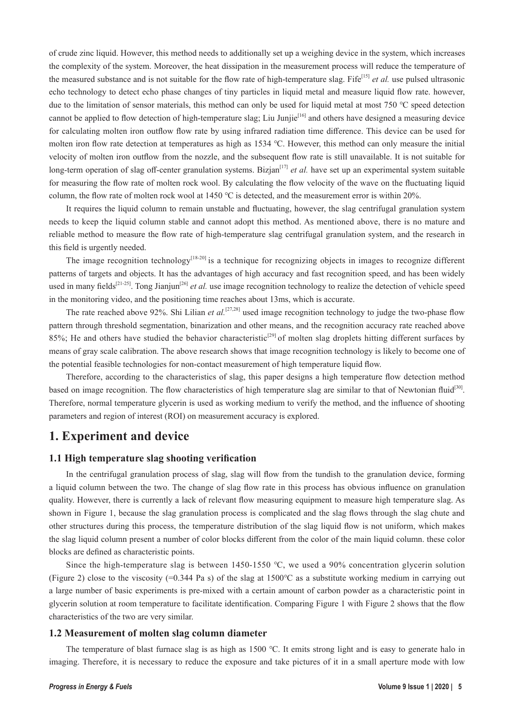of crude zinc liquid. However, this method needs to additionally set up a weighing device in the system, which increases the complexity of the system. Moreover, the heat dissipation in the measurement process will reduce the temperature of the measured substance and is not suitable for the flow rate of high-temperature slag. Fife<sup>[15]</sup> *et al.* use pulsed ultrasonic echo technology to detect echo phase changes of tiny particles in liquid metal and measure liquid flow rate. however, due to the limitation of sensor materials, this method can only be used for liquid metal at most 750 ℃ speed detection cannot be applied to flow detection of high-temperature slag; Liu Junjie<sup>[16]</sup> and others have designed a measuring device for calculating molten iron outflow flow rate by using infrared radiation time difference. This device can be used for molten iron flow rate detection at temperatures as high as 1534 ℃. However, this method can only measure the initial velocity of molten iron outflow from the nozzle, and the subsequent flow rate is still unavailable. It is not suitable for long-term operation of slag off-center granulation systems. Bizjan<sup>[17]</sup> *et al.* have set up an experimental system suitable for measuring the flow rate of molten rock wool. By calculating the flow velocity of the wave on the fluctuating liquid column, the flow rate of molten rock wool at 1450 ℃ is detected, and the measurement error is within 20%.

It requires the liquid column to remain unstable and fluctuating, however, the slag centrifugal granulation system needs to keep the liquid column stable and cannot adopt this method. As mentioned above, there is no mature and reliable method to measure the flow rate of high-temperature slag centrifugal granulation system, and the research in this field is urgently needed.

The image recognition technology<sup>[18-20]</sup> is a technique for recognizing objects in images to recognize different patterns of targets and objects. It has the advantages of high accuracy and fast recognition speed, and has been widely used in many fields<sup>[21-25]</sup>. Tong Jianjun<sup>[26]</sup> *et al.* use image recognition technology to realize the detection of vehicle speed in the monitoring video, and the positioning time reaches about 13ms, which is accurate.

The rate reached above 92%. Shi Lilian *et al.*<sup>[27,28]</sup> used image recognition technology to judge the two-phase flow pattern through threshold segmentation, binarization and other means, and the recognition accuracy rate reached above 85%; He and others have studied the behavior characteristic<sup>[29]</sup> of molten slag droplets hitting different surfaces by means of gray scale calibration. The above research shows that image recognition technology is likely to become one of the potential feasible technologies for non-contact measurement of high temperature liquid flow.

Therefore, according to the characteristics of slag, this paper designs a high temperature flow detection method based on image recognition. The flow characteristics of high temperature slag are similar to that of Newtonian fluid<sup>[30]</sup>. Therefore, normal temperature glycerin is used as working medium to verify the method, and the influence of shooting parameters and region of interest (ROI) on measurement accuracy is explored.

### **1. Experiment and device**

### **1.1 High temperature slag shooting verification**

In the centrifugal granulation process of slag, slag will flow from the tundish to the granulation device, forming a liquid column between the two. The change of slag flow rate in this process has obvious influence on granulation quality. However, there is currently a lack of relevant flow measuring equipment to measure high temperature slag. As shown in Figure 1, because the slag granulation process is complicated and the slag flows through the slag chute and other structures during this process, the temperature distribution of the slag liquid flow is not uniform, which makes the slag liquid column present a number of color blocks different from the color of the main liquid column. these color blocks are defined as characteristic points.

Since the high-temperature slag is between 1450-1550 ℃, we used a 90% concentration glycerin solution (Figure 2) close to the viscosity (=0.344 Pa s) of the slag at 1500℃ as a substitute working medium in carrying out a large number of basic experiments is pre-mixed with a certain amount of carbon powder as a characteristic point in glycerin solution at room temperature to facilitate identification. Comparing Figure 1 with Figure 2 shows that the flow characteristics of the two are very similar.

#### **1.2 Measurement of molten slag column diameter**

The temperature of blast furnace slag is as high as 1500 ℃. It emits strong light and is easy to generate halo in imaging. Therefore, it is necessary to reduce the exposure and take pictures of it in a small aperture mode with low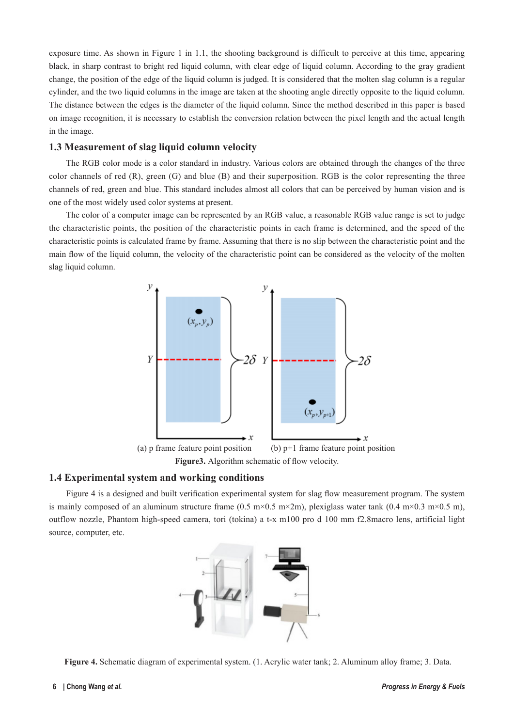exposure time. As shown in Figure 1 in 1.1, the shooting background is difficult to perceive at this time, appearing black, in sharp contrast to bright red liquid column, with clear edge of liquid column. According to the gray gradient change, the position of the edge of the liquid column is judged. It is considered that the molten slag column is a regular cylinder, and the two liquid columns in the image are taken at the shooting angle directly opposite to the liquid column. The distance between the edges is the diameter of the liquid column. Since the method described in this paper is based on image recognition, it is necessary to establish the conversion relation between the pixel length and the actual length in the image.

### **1.3 Measurement of slag liquid column velocity**

The RGB color mode is a color standard in industry. Various colors are obtained through the changes of the three color channels of red  $(R)$ , green  $(G)$  and blue  $(B)$  and their superposition. RGB is the color representing the three channels of red, green and blue. This standard includes almost all colors that can be perceived by human vision and is one of the most widely used color systems at present.

The color of a computer image can be represented by an RGB value, a reasonable RGB value range is set to judge the characteristic points, the position of the characteristic points in each frame is determined, and the speed of the characteristic points is calculated frame by frame. Assuming that there is no slip between the characteristic point and the main flow of the liquid column, the velocity of the characteristic point can be considered as the velocity of the molten slag liquid column.



### **1.4 Experimental system and working conditions**

Figure 4 is a designed and built verification experimental system for slag flow measurement program. The system is mainly composed of an aluminum structure frame (0.5 m×0.5 m×2m), plexiglass water tank (0.4 m×0.3 m×0.5 m), outflow nozzle, Phantom high-speed camera, tori (tokina) a t-x m100 pro d 100 mm f2.8macro lens, artificial light source, computer, etc.



**Figure 4.** Schematic diagram of experimental system. (1. Acrylic water tank; 2. Aluminum alloy frame; 3. Data.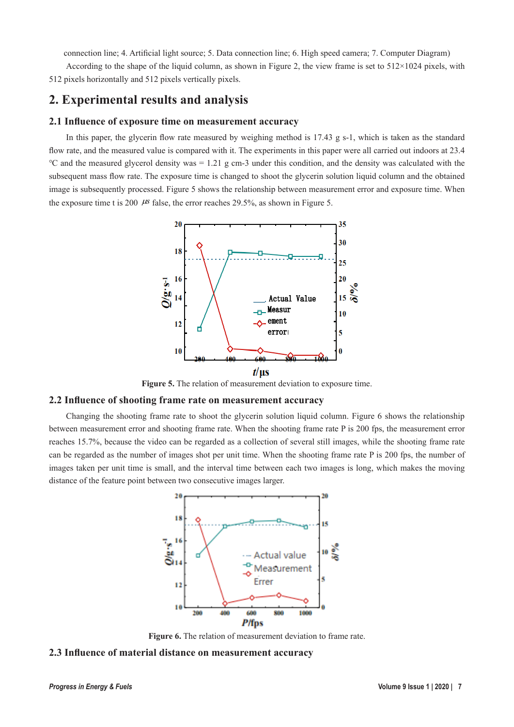connection line; 4. Artificial light source; 5. Data connection line; 6. High speed camera; 7. Computer Diagram)

According to the shape of the liquid column, as shown in Figure 2, the view frame is set to 512×1024 pixels, with 512 pixels horizontally and 512 pixels vertically pixels.

# **2. Experimental results and analysis**

### **2.1 Influence of exposure time on measurement accuracy**

In this paper, the glycerin flow rate measured by weighing method is 17.43 g s-1, which is taken as the standard flow rate, and the measured value is compared with it. The experiments in this paper were all carried out indoors at 23.4 ℃ and the measured glycerol density was = 1.21 g cm-3 under this condition, and the density was calculated with the subsequent mass flow rate. The exposure time is changed to shoot the glycerin solution liquid column and the obtained image is subsequently processed. Figure 5 shows the relationship between measurement error and exposure time. When the exposure time t is 200  $\mu$ s false, the error reaches 29.5%, as shown in Figure 5.



**Figure 5.** The relation of measurement deviation to exposure time.

### **2.2 Influence of shooting frame rate on measurement accuracy**

Changing the shooting frame rate to shoot the glycerin solution liquid column. Figure 6 shows the relationship between measurement error and shooting frame rate. When the shooting frame rate P is 200 fps, the measurement error reaches 15.7%, because the video can be regarded as a collection of several still images, while the shooting frame rate can be regarded as the number of images shot per unit time. When the shooting frame rate P is 200 fps, the number of images taken per unit time is small, and the interval time between each two images is long, which makes the moving distance of the feature point between two consecutive images larger.



**Figure 6.** The relation of measurement deviation to frame rate.

### **2.3 Influence of material distance on measurement accuracy**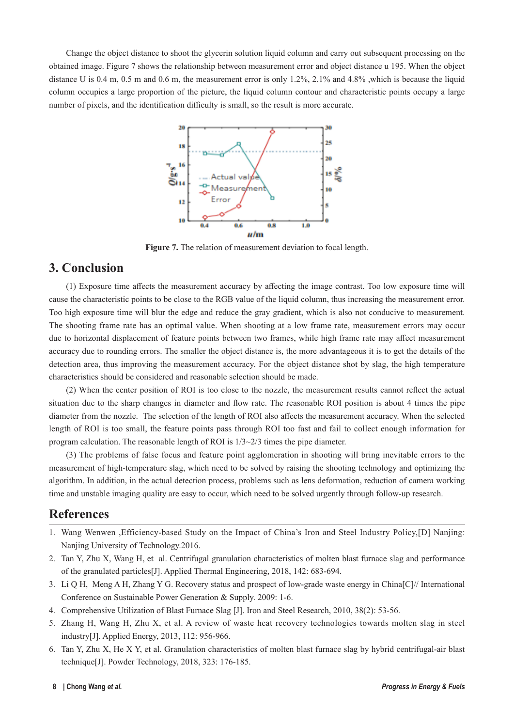Change the object distance to shoot the glycerin solution liquid column and carry out subsequent processing on the obtained image. Figure 7 shows the relationship between measurement error and object distance u 195. When the object distance U is 0.4 m, 0.5 m and 0.6 m, the measurement error is only 1.2%, 2.1% and 4.8% ,which is because the liquid column occupies a large proportion of the picture, the liquid column contour and characteristic points occupy a large number of pixels, and the identification difficulty is small, so the result is more accurate.



**Figure 7.** The relation of measurement deviation to focal length.

### **3. Conclusion**

(1) Exposure time affects the measurement accuracy by affecting the image contrast. Too low exposure time will cause the characteristic points to be close to the RGB value of the liquid column, thus increasing the measurement error. Too high exposure time will blur the edge and reduce the gray gradient, which is also not conducive to measurement. The shooting frame rate has an optimal value. When shooting at a low frame rate, measurement errors may occur due to horizontal displacement of feature points between two frames, while high frame rate may affect measurement accuracy due to rounding errors. The smaller the object distance is, the more advantageous it is to get the details of the detection area, thus improving the measurement accuracy. For the object distance shot by slag, the high temperature characteristics should be considered and reasonable selection should be made.

(2) When the center position of ROI is too close to the nozzle, the measurement results cannot reflect the actual situation due to the sharp changes in diameter and flow rate. The reasonable ROI position is about 4 times the pipe diameter from the nozzle. The selection of the length of ROI also affects the measurement accuracy. When the selected length of ROI is too small, the feature points pass through ROI too fast and fail to collect enough information for program calculation. The reasonable length of ROI is 1/3~2/3 times the pipe diameter.

(3) The problems of false focus and feature point agglomeration in shooting will bring inevitable errors to the measurement of high-temperature slag, which need to be solved by raising the shooting technology and optimizing the algorithm. In addition, in the actual detection process, problems such as lens deformation, reduction of camera working time and unstable imaging quality are easy to occur, which need to be solved urgently through follow-up research.

# **References**

- 1. Wang Wenwen ,Efficiency-based Study on the Impact of China's Iron and Steel Industry Policy,[D] Nanjing: Nanjing University of Technology.2016.
- 2. Tan Y, Zhu X, Wang H, et al. Centrifugal granulation characteristics of molten blast furnace slag and performance of the granulated particles[J]. Applied Thermal Engineering, 2018, 142: 683-694.
- 3. Li Q H, Meng A H, Zhang Y G. Recovery status and prospect of low-grade waste energy in China[C]// International Conference on Sustainable Power Generation & Supply. 2009: 1-6.
- 4. Comprehensive Utilization of Blast Furnace Slag [J]. Iron and Steel Research, 2010, 38(2): 53-56.
- 5. Zhang H, Wang H, Zhu X, et al. A review of waste heat recovery technologies towards molten slag in steel industry[J]. Applied Energy, 2013, 112: 956-966.
- 6. Tan Y, Zhu X, He X Y, et al. Granulation characteristics of molten blast furnace slag by hybrid centrifugal-air blast technique[J]. Powder Technology, 2018, 323: 176-185.